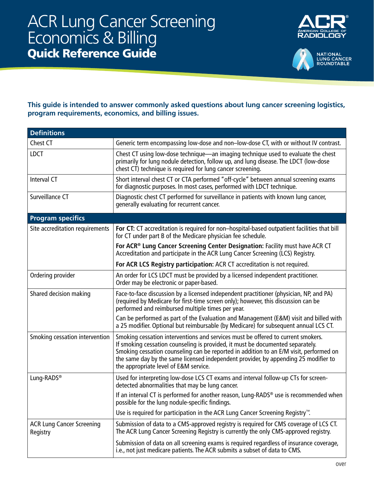



## **This guide is intended to answer commonly asked questions about lung cancer screening logistics, program requirements, economics, and billing issues.**

| <b>Definitions</b>                           |                                                                                                                                                                                                                                                                                                                                                                                              |
|----------------------------------------------|----------------------------------------------------------------------------------------------------------------------------------------------------------------------------------------------------------------------------------------------------------------------------------------------------------------------------------------------------------------------------------------------|
| Chest CT                                     | Generic term encompassing low-dose and non-low-dose CT, with or without IV contrast.                                                                                                                                                                                                                                                                                                         |
| <b>LDCT</b>                                  | Chest CT using low-dose technique—an imaging technique used to evaluate the chest<br>primarily for lung nodule detection, follow up, and lung disease. The LDCT (low-dose<br>chest CT) technique is required for lung cancer screening.                                                                                                                                                      |
| Interval CT                                  | Short interval chest CT or CTA performed "off-cycle" between annual screening exams<br>for diagnostic purposes. In most cases, performed with LDCT technique.                                                                                                                                                                                                                                |
| Surveillance CT                              | Diagnostic chest CT performed for surveillance in patients with known lung cancer,<br>generally evaluating for recurrent cancer.                                                                                                                                                                                                                                                             |
| <b>Program specifics</b>                     |                                                                                                                                                                                                                                                                                                                                                                                              |
| Site accreditation requirements              | For CT: CT accreditation is required for non-hospital-based outpatient facilities that bill<br>for CT under part B of the Medicare physician fee schedule.                                                                                                                                                                                                                                   |
|                                              | For ACR® Lung Cancer Screening Center Designation: Facility must have ACR CT<br>Accreditation and participate in the ACR Lung Cancer Screening (LCS) Registry.                                                                                                                                                                                                                               |
|                                              | For ACR LCS Registry participation: ACR CT accreditation is not required.                                                                                                                                                                                                                                                                                                                    |
| Ordering provider                            | An order for LCS LDCT must be provided by a licensed independent practitioner.<br>Order may be electronic or paper-based.                                                                                                                                                                                                                                                                    |
| Shared decision making                       | Face-to-face discussion by a licensed independent practitioner (physician, NP, and PA)<br>(required by Medicare for first-time screen only); however, this discussion can be<br>performed and reimbursed multiple times per year.                                                                                                                                                            |
|                                              | Can be performed as part of the Evaluation and Management (E&M) visit and billed with<br>a 25 modifier. Optional but reimbursable (by Medicare) for subsequent annual LCS CT.                                                                                                                                                                                                                |
| Smoking cessation intervention               | Smoking cessation interventions and services must be offered to current smokers.<br>If smoking cessation counseling is provided, it must be documented separately.<br>Smoking cessation counseling can be reported in addition to an E/M visit, performed on<br>the same day by the same licensed independent provider, by appending 25 modifier to<br>the appropriate level of E&M service. |
| Lung-RADS <sup>®</sup>                       | Used for interpreting low-dose LCS CT exams and interval follow-up CTs for screen-<br>detected abnormalities that may be lung cancer.                                                                                                                                                                                                                                                        |
|                                              | If an interval CT is performed for another reason, Lung-RADS® use is recommended when<br>possible for the lung nodule-specific findings.                                                                                                                                                                                                                                                     |
|                                              | Use is required for participation in the ACR Lung Cancer Screening Registry <sup>™</sup> .                                                                                                                                                                                                                                                                                                   |
| <b>ACR Lung Cancer Screening</b><br>Registry | Submission of data to a CMS-approved registry is required for CMS coverage of LCS CT.<br>The ACR Lung Cancer Screening Registry is currently the only CMS-approved registry.                                                                                                                                                                                                                 |
|                                              | Submission of data on all screening exams is required regardless of insurance coverage,<br>i.e., not just medicare patients. The ACR submits a subset of data to CMS.                                                                                                                                                                                                                        |